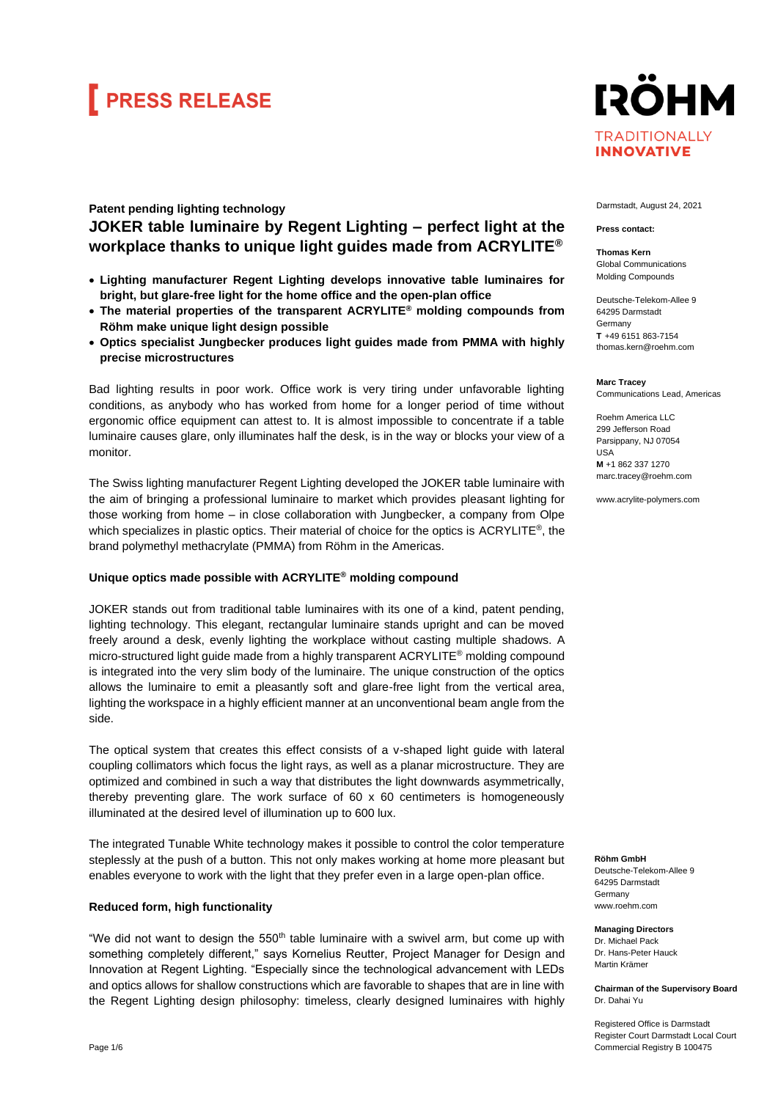# **FRESS RELEASE**

### **IRÖHM TRADITIONALLY INNOVATIVE**

### **Patent pending lighting technology JOKER table luminaire by Regent Lighting – perfect light at the workplace thanks to unique light guides made from ACRYLITE®**

- **Lighting manufacturer Regent Lighting develops innovative table luminaires for bright, but glare-free light for the home office and the open-plan office**
- **The material properties of the transparent ACRYLITE® molding compounds from Röhm make unique light design possible**
- **Optics specialist Jungbecker produces light guides made from PMMA with highly precise microstructures**

Bad lighting results in poor work. Office work is very tiring under unfavorable lighting conditions, as anybody who has worked from home for a longer period of time without ergonomic office equipment can attest to. It is almost impossible to concentrate if a table luminaire causes glare, only illuminates half the desk, is in the way or blocks your view of a monitor.

The Swiss lighting manufacturer Regent Lighting developed the JOKER table luminaire with the aim of bringing a professional luminaire to market which provides pleasant lighting for those working from home – in close collaboration with Jungbecker, a company from Olpe which specializes in plastic optics. Their material of choice for the optics is  $ACRYLITE<sup>®</sup>$ , the brand polymethyl methacrylate (PMMA) from Röhm in the Americas.

### **Unique optics made possible with ACRYLITE® molding compound**

JOKER stands out from traditional table luminaires with its one of a kind, patent pending, lighting technology. This elegant, rectangular luminaire stands upright and can be moved freely around a desk, evenly lighting the workplace without casting multiple shadows. A micro-structured light guide made from a highly transparent ACRYLITE® molding compound is integrated into the very slim body of the luminaire. The unique construction of the optics allows the luminaire to emit a pleasantly soft and glare-free light from the vertical area, lighting the workspace in a highly efficient manner at an unconventional beam angle from the side.

The optical system that creates this effect consists of a v-shaped light guide with lateral coupling collimators which focus the light rays, as well as a planar microstructure. They are optimized and combined in such a way that distributes the light downwards asymmetrically, thereby preventing glare. The work surface of 60 x 60 centimeters is homogeneously illuminated at the desired level of illumination up to 600 lux.

The integrated Tunable White technology makes it possible to control the color temperature steplessly at the push of a button. This not only makes working at home more pleasant but enables everyone to work with the light that they prefer even in a large open-plan office.

### **Reduced form, high functionality**

"We did not want to design the  $550<sup>th</sup>$  table luminaire with a swivel arm, but come up with something completely different," says Kornelius Reutter, Project Manager for Design and Innovation at Regent Lighting. "Especially since the technological advancement with LEDs and optics allows for shallow constructions which are favorable to shapes that are in line with the Regent Lighting design philosophy: timeless, clearly designed luminaires with highly Darmstadt, August 24, 2021

#### **Press contact:**

**Thomas Kern** Global Communications Molding Compounds

Deutsche-Telekom-Allee 9 64295 Darmstadt Germany **T** +49 6151 863-7154 thomas.kern@roehm.com

**Marc Tracey**

Communications Lead, Americas

Roehm America LLC 299 Jefferson Road Parsippany, NJ 07054 USA **M** +1 862 337 1270 marc.tracey@roehm.com

www.acrylite-polymers.com

**Röhm GmbH**

Deutsche-Telekom-Allee 9 64295 Darmstadt **Germany** www.roehm.com

**Managing Directors** Dr. Michael Pack Dr. Hans-Peter Hauck Martin Krämer

**Chairman of the Supervisory Board** Dr. Dahai Yu

Registered Office is Darmstadt Register Court Darmstadt Local Court Commercial Registry B 100475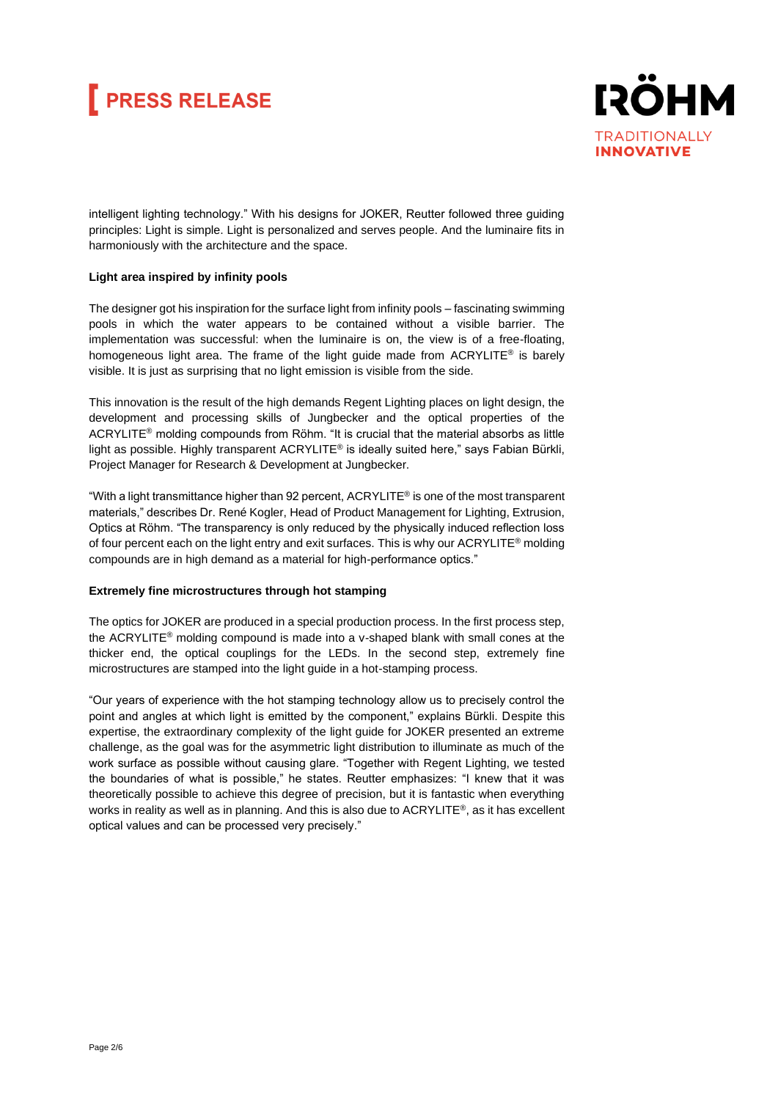# **FRESS RELEASE**



intelligent lighting technology." With his designs for JOKER, Reutter followed three guiding principles: Light is simple. Light is personalized and serves people. And the luminaire fits in harmoniously with the architecture and the space.

### **Light area inspired by infinity pools**

The designer got his inspiration for the surface light from infinity pools – fascinating swimming pools in which the water appears to be contained without a visible barrier. The implementation was successful: when the luminaire is on, the view is of a free-floating, homogeneous light area. The frame of the light guide made from  $ACRYLITE<sup>®</sup>$  is barely visible. It is just as surprising that no light emission is visible from the side.

This innovation is the result of the high demands Regent Lighting places on light design, the development and processing skills of Jungbecker and the optical properties of the  $ACRYLITE<sup>®</sup>$  molding compounds from Röhm. "It is crucial that the material absorbs as little light as possible. Highly transparent ACRYLITE® is ideally suited here," says Fabian Bürkli, Project Manager for Research & Development at Jungbecker.

"With a light transmittance higher than 92 percent, ACRYLITE® is one of the most transparent materials," describes Dr. René Kogler, Head of Product Management for Lighting, Extrusion, Optics at Röhm. "The transparency is only reduced by the physically induced reflection loss of four percent each on the light entry and exit surfaces. This is why our ACRYLITE<sup>®</sup> molding compounds are in high demand as a material for high-performance optics."

### **Extremely fine microstructures through hot stamping**

The optics for JOKER are produced in a special production process. In the first process step, the ACRYLITE® molding compound is made into a v-shaped blank with small cones at the thicker end, the optical couplings for the LEDs. In the second step, extremely fine microstructures are stamped into the light guide in a hot-stamping process.

"Our years of experience with the hot stamping technology allow us to precisely control the point and angles at which light is emitted by the component," explains Bürkli. Despite this expertise, the extraordinary complexity of the light guide for JOKER presented an extreme challenge, as the goal was for the asymmetric light distribution to illuminate as much of the work surface as possible without causing glare. "Together with Regent Lighting, we tested the boundaries of what is possible," he states. Reutter emphasizes: "I knew that it was theoretically possible to achieve this degree of precision, but it is fantastic when everything works in reality as well as in planning. And this is also due to ACRYLITE®, as it has excellent optical values and can be processed very precisely."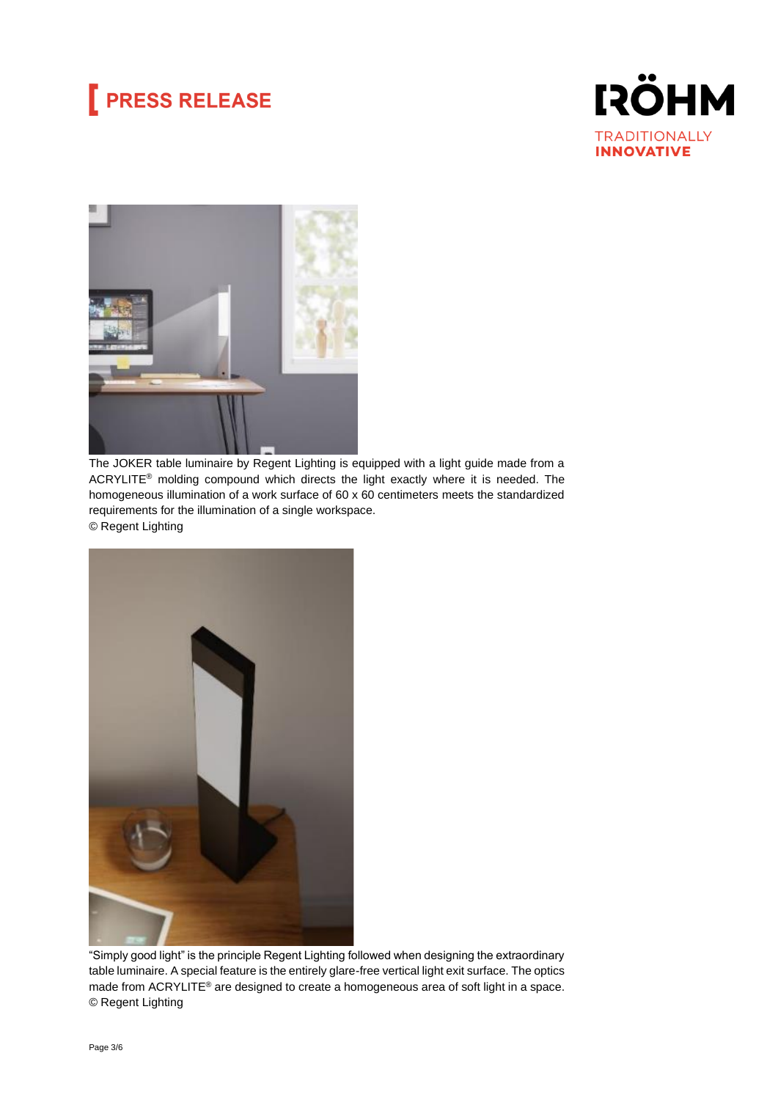# **PRESS RELEASE**





The JOKER table luminaire by Regent Lighting is equipped with a light guide made from a ACRYLITE® molding compound which directs the light exactly where it is needed. The homogeneous illumination of a work surface of 60 x 60 centimeters meets the standardized requirements for the illumination of a single workspace. © Regent Lighting



"Simply good light" is the principle Regent Lighting followed when designing the extraordinary table luminaire. A special feature is the entirely glare-free vertical light exit surface. The optics made from ACRYLITE® are designed to create a homogeneous area of soft light in a space. © Regent Lighting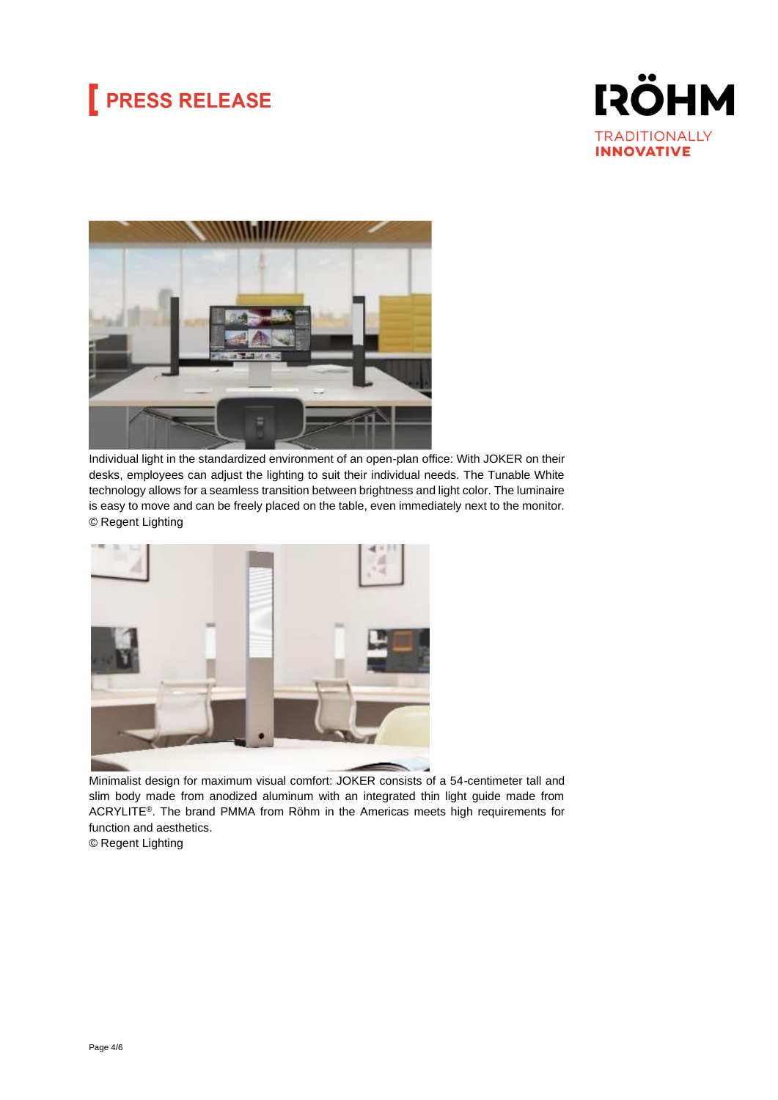# **PRESS RELEASE**





Individual light in the standardized environment of an open-plan office: With JOKER on their desks, employees can adjust the lighting to suit their individual needs. The Tunable White technology allows for a seamless transition between brightness and light color. The luminaire is easy to move and can be freely placed on the table, even immediately next to the monitor. © Regent Lighting



Minimalist design for maximum visual comfort: JOKER consists of a 54-centimeter tall and slim body made from anodized aluminum with an integrated thin light guide made from ACRYLITE®. The brand PMMA from Röhm in the Americas meets high requirements for function and aesthetics.

© Regent Lighting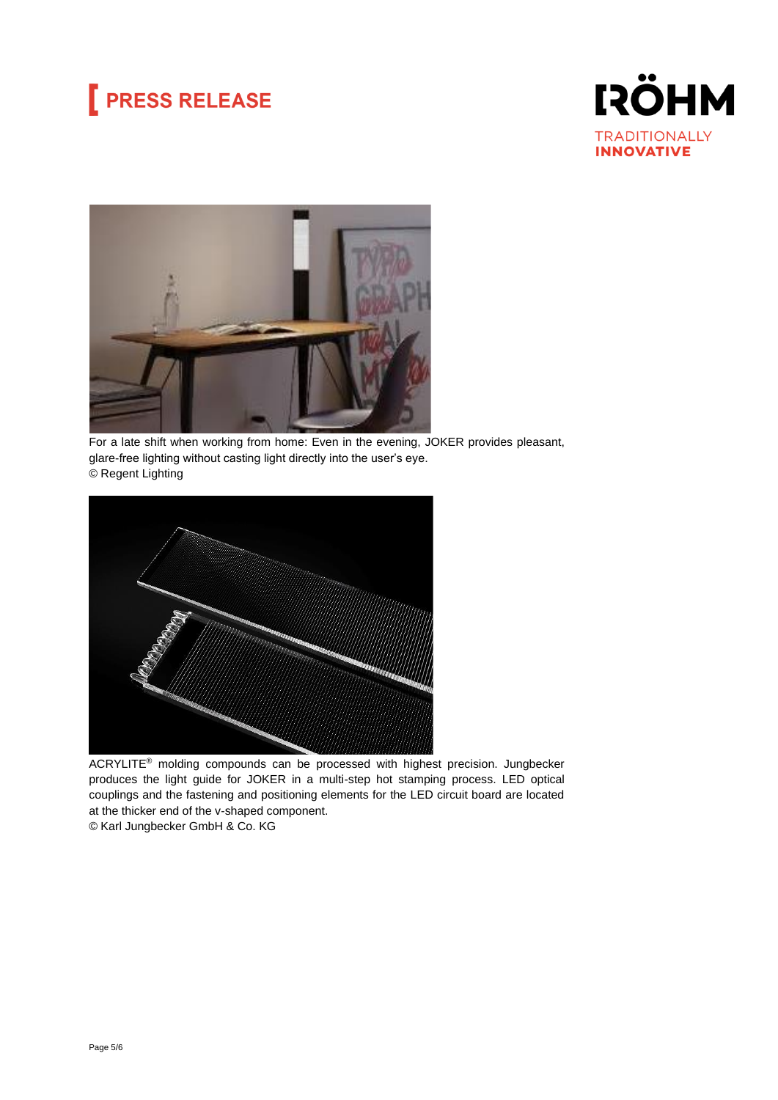# **PRESS RELEASE**





For a late shift when working from home: Even in the evening, JOKER provides pleasant, glare-free lighting without casting light directly into the user's eye. © Regent Lighting



ACRYLITE® molding compounds can be processed with highest precision. Jungbecker produces the light guide for JOKER in a multi-step hot stamping process. LED optical couplings and the fastening and positioning elements for the LED circuit board are located at the thicker end of the v-shaped component.

© Karl Jungbecker GmbH & Co. KG